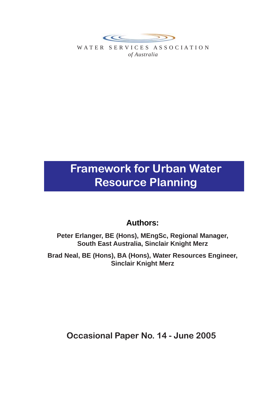

WATER SERVICES ASSOCIATION *of Australia*

# **Framework for Urban Water Resource Planning**

# **Authors:**

**Peter Erlanger, BE (Hons), MEngSc, Regional Manager, South East Australia, Sinclair Knight Merz**

**Brad Neal, BE (Hons), BA (Hons), Water Resources Engineer, Sinclair Knight Merz**

**Occasional Paper No. 14 - June 2005**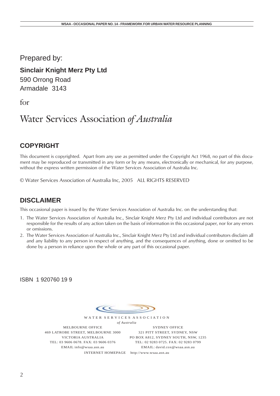Prepared by:

**Sinclair Knight Merz Pty Ltd**

590 Orrong Road Armadale 3143

for

# Water Services Association *of Australia*

#### **COPYRIGHT**

This document is copyrighted. Apart from any use as permitted under the Copyright Act 1968, no part of this document may be reproduced or transmitted in any form or by any means, electronically or mechanical, for any purpose, without the express written permission of the Water Services Association of Australia Inc.

© Water Services Association of Australia Inc, 2005 ALL RIGHTS RESERVED

#### **DISCLAIMER**

This occasional paper is issued by the Water Services Association of Australia Inc. on the understanding that:

- 1. The Water Services Association of Australia Inc., Sinclair Knight Merz Pty Ltd and individual contributors are not responsible for the results of any action taken on the basis of information in this occasional paper, nor for any errors or omissions.
- 2. The Water Services Association of Australia Inc., Sinclair Knight Merz Pty Ltd and individual contributors disclaim all and any liability to any person in respect of anything, and the consequences of anything, done or omitted to be done by a person in reliance upon the whole or any part of this occasional paper.

ISBN 1 920760 19 9

 $\epsilon$ 

W A T E R S E R V I C E S A S S O C I A T I O N *of Australia*

MELBOURNE OFFICE 469 LATROBE STREET, MELBOURNE 3000 VICTORIA AUSTRALIA TEL: 03 9606 0678. FAX: 03 9606 0376 EMAIL info@wsaa.asn.au

SYDNEY OFFICE 321 PITT STREET, SYDNEY, NSW PO BOX A812, SYDNEY SOUTH, NSW, 1235 TEL: 02 9283 0725. FAX: 02 9283 0799 EMAIL: david.cox@wsaa.asn.au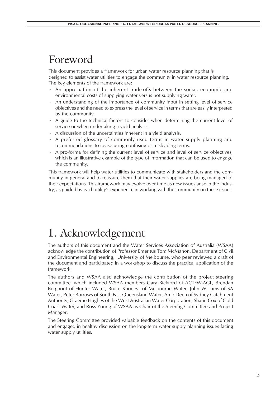# <span id="page-2-0"></span>Foreword

This document provides a framework for urban water resource planning that is designed to assist water utilities to engage the community in water resource planning. The key elements of the framework are:

- An appreciation of the inherent trade-offs between the social, economic and environmental costs of supplying water versus not supplying water.
- An understanding of the importance of community input in setting level of service objectives and the need to express the level of service in terms that are easily interpreted by the community.
- A guide to the technical factors to consider when determining the current level of service or when undertaking a yield analysis.
- A discussion of the uncertainties inherent in a yield analysis.
- A preferred glossary of commonly used terms in water supply planning and recommendations to cease using confusing or misleading terms.
- A pro-forma for defining the current level of service and level of service objectives, which is an illustrative example of the type of information that can be used to engage the community.

This framework will help water utilities to communicate with stakeholders and the community in general and to reassure them that their water supplies are being managed to their expectations. This framework may evolve over time as new issues arise in the industry, as guided by each utility's experience in working with the community on these issues.

# 1. Acknowledgement

The authors of this document and the Water Services Association of Australia (WSAA) acknowledge the contribution of Professor Emeritus Tom McMahon, Department of Civil and Environmental Engineering, University of Melbourne, who peer reviewed a draft of the document and participated in a workshop to discuss the practical application of the framework.

The authors and WSAA also acknowledge the contribution of the project steering committee, which included WSAA members Gary Bickford of ACTEW-AGL, Brendan Berghout of Hunter Water, Bruce Rhodes of Melbourne Water, John Williams of SA Water, Peter Borrows of South-East Queensland Water, Amir Deen of Sydney Catchment Authority, Graeme Hughes of the West Australian Water Corporation, Shaun Cox of Gold Coast Water, and Ross Young of WSAA as Chair of the Steering Committee and Project Manager.

The Steering Committee provided valuable feedback on the contents of this document and engaged in healthy discussion on the long-term water supply planning issues facing water supply utilities.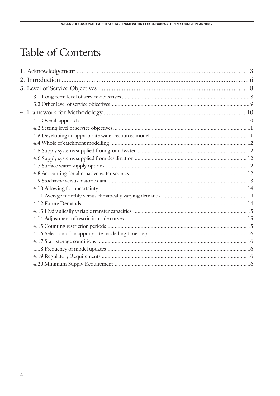# Table of Contents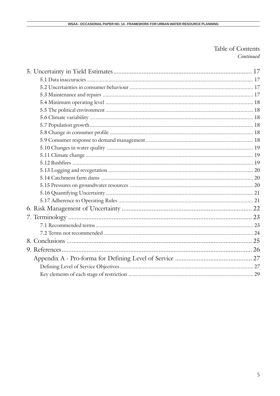#### Table of Contents Continued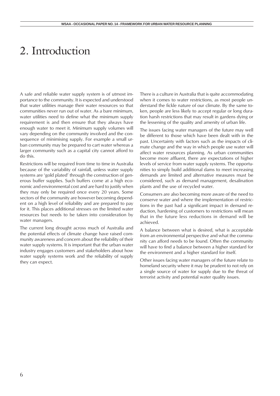# <span id="page-5-0"></span>2. Introduction

A safe and reliable water supply system is of utmost importance to the community. It is expected and understood that water utilities manage their water resources so that communities never run out of water. As a bare minimum, water utilities need to define what the minimum supply requirement is and then ensure that they always have enough water to meet it. Minimum supply volumes will vary depending on the community involved and the consequence of minimising supply. For example a small urban community may be prepared to cart water whereas a larger community such as a capital city cannot afford to do this.

Restrictions will be required from time to time in Australia because of the variability of rainfall, unless water supply systems are 'gold plated' through the construction of generous buffer supplies. Such buffers come at a high economic and environmental cost and are hard to justify when they may only be required once every 20 years. Some sectors of the community are however becoming dependent on a high level of reliability and are prepared to pay for it. This places additional stresses on the limited water resources but needs to be taken into consideration by water managers.

The current long drought across much of Australia and the potential effects of climate change have raised community awareness and concern about the reliability of their water supply systems. It is important that the urban water industry engages customers and stakeholders about how water supply systems work and the reliability of supply they can expect.

There is a culture in Australia that is quite accommodating when it comes to water restrictions, as most people understand the fickle nature of our climate. By the same token, people are less likely to accept regular or long duration harsh restrictions that may result in gardens dying or the lessening of the quality and amenity of urban life.

The issues facing water managers of the future may well be different to those which have been dealt with in the past. Uncertainty with factors such as the impacts of climate change and the way in which people use water will affect water resources planning. As urban communities become more affluent, there are expectations of higher levels of service from water supply systems. The opportunities to simply build additional dams to meet increasing demands are limited and alternative measures must be considered, such as demand management, desalination plants and the use of recycled water.

Consumers are also becoming more aware of the need to conserve water and where the implementation of restrictions in the past had a significant impact in demand reduction, hardening of customers to restrictions will mean that in the future less reductions in demand will be achieved.

A balance between what is desired, what is acceptable from an environmental perspective and what the community can afford needs to be found. Often the community will have to find a balance between a higher standard for the environment and a higher standard for itself.

Other issues facing water managers of the future relate to homeland security where it may be prudent to not rely on a single source of water for supply due to the threat of terrorist activity and potential water quality issues.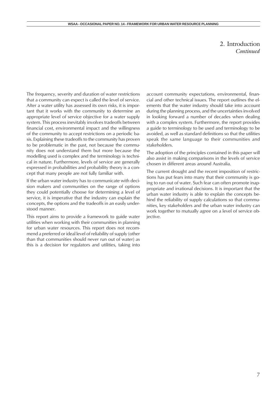#### 2. Introduction *Continued*

<span id="page-6-0"></span>The frequency, severity and duration of water restrictions that a community can expect is called the level of service. After a water utility has assessed its own risks, it is important that it works with the community to determine an appropriate level of service objective for a water supply system. This process inevitably involves tradeoffs between financial cost, environmental impact and the willingness of the community to accept restrictions on a periodic basis. Explaining these tradeoffs to the community has proven to be problematic in the past, not because the community does not understand them but more because the modelling used is complex and the terminology is technical in nature. Furthermore, levels of service are generally expressed in probabilities and probability theory is a concept that many people are not fully familiar with.

If the urban water industry has to communicate with decision makers and communities on the range of options they could potentially choose for determining a level of service, it is imperative that the industry can explain the concepts, the options and the tradeoffs in an easily understood manner.

This report aims to provide a framework to guide water utilities when working with their communities in planning for urban water resources. This report does not recommend a preferred or ideal level of reliability of supply (other than that communities should never run out of water) as this is a decision for regulators and utilities, taking into

account community expectations, environmental, financial and other technical issues. The report outlines the elements that the water industry should take into account during the planning process, and the uncertainties involved in looking forward a number of decades when dealing with a complex system. Furthermore, the report provides a guide to terminology to be used and terminology to be avoided, as well as standard definitions so that the utilities speak the same language to their communities and stakeholders.

The adoption of the principles contained in this paper will also assist in making comparisons in the levels of service chosen in different areas around Australia.

The current drought and the recent imposition of restrictions has put fears into many that their community is going to run out of water. Such fear can often promote inappropriate and irrational decisions. It is important that the urban water industry is able to explain the concepts behind the reliability of supply calculations so that communities, key stakeholders and the urban water industry can work together to mutually agree on a level of service objective.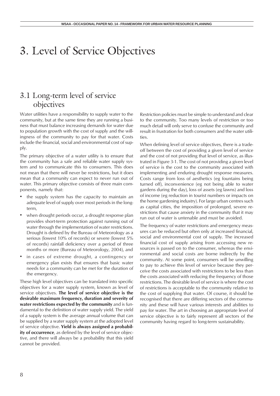# <span id="page-7-0"></span>3. Level of Service Objectives

## 3.1 Long-term level of service objectives

Water utilities have a responsibility to supply water to the community, but at the same time they are running a business that must balance increasing demands for water due to population growth with the cost of supply and the willingness of the community to pay for that water. Costs include the financial, social and environmental cost of supply.

The primary objective of a water utility is to ensure that the community has a safe and reliable water supply system and to communicate this to consumers. This does not mean that there will never be restrictions, but it does mean that a community can expect to never run out of water. This primary objective consists of three main components, namely that:

- the supply system has the capacity to maintain an adequate level of supply over most periods in the longterm,
- when drought periods occur, a drought response plan provides short-term protection against running out of water through the implementation of water restrictions. Drought is defined by the Bureau of Meteorology as a serious (lowest 10% of records) or severe (lowest 5% of records) rainfall deficiency over a period of three months or more (Bureau of Meteorology, 2004), and
- in cases of extreme drought, a contingency or emergency plan exists that ensures that basic water needs for a community can be met for the duration of the emergency.

These high level objectives can be translated into specific objectives for a water supply system, known as level of service objectives. **The level of service objective is the desirable maximum frequency, duration and severity of water restrictions expected by the community** and is fundamental to the definition of water supply yield. The yield of a supply system is the average annual volume that can be supplied by a water supply system at the adopted level of service objective. **Yield is always assigned a probability of occurrence**, as defined by the level of service objective, and there will always be a probability that this yield cannot be provided.

Restriction policies must be simple to understand and clear to the community. Too many levels of restriction or too much detail will only serve to confuse the community and result in frustration for both consumers and the water utilities.

When defining level of service objectives, there is a tradeoff between the cost of providing a given level of service and the cost of not providing that level of service, as illustrated in Figure 3-1. The cost of not providing a given level of service is the cost to the community associated with implementing and enduring drought response measures. Costs range from loss of aesthetics (eg fountains being turned off), inconvenience (eg not being able to water gardens during the day), loss of assets (eg lawns) and loss of income (eg reduction in tourist numbers or impacts on the home gardening industry). For large urban centres such as capital cities, the imposition of prolonged, severe restrictions that cause anxiety in the community that it may run out of water is untenable and must be avoided.

The frequency of water restrictions and emergency measures can be reduced but often only at increased financial, social and environmental cost of supply. The increased financial cost of supply arising from accessing new resources is passed on to the consumer, whereas the environmental and social costs are borne indirectly by the community. At some point, consumers will be unwilling to pay to achieve this level of service because they perceive the costs associated with restrictions to be less than the costs associated with reducing the frequency of those restrictions. The desirable level of service is where the cost of restrictions is acceptable to the community relative to the cost of supplying that water. Of course, it should be recognised that there are differing sectors of the community and these will have various interests and abilities to pay for water. The art in choosing an appropriate level of service objective is to fairly represent all sectors of the community having regard to long-term sustainability.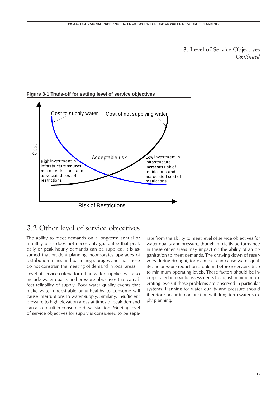3. Level of Service Objectives *Continued*



<span id="page-8-0"></span>**Figure 3-1 Trade-off for setting level of service objectives**

#### 3.2 Other level of service objectives

The ability to meet demands on a long-term annual or monthly basis does not necessarily guarantee that peak daily or peak hourly demands can be supplied. It is assumed that prudent planning incorporates upgrades of distribution mains and balancing storages and that these do not constrain the meeting of demand in local areas.

Level of service criteria for urban water supplies will also include water quality and pressure objectives that can affect reliability of supply. Poor water quality events that make water undesirable or unhealthy to consume will cause interruptions to water supply. Similarly, insufficient pressure to high elevation areas at times of peak demand can also result in consumer dissatisfaction. Meeting level of service objectives for supply is considered to be separate from the ability to meet level of service objectives for water quality and pressure, though implicitly performance in these other areas may impact on the ability of an organisation to meet demands. The drawing down of reservoirs during drought, for example, can cause water quality and pressure reduction problems before reservoirs drop to minimum operating levels. These factors should be incorporated into yield assessments to adjust minimum operating levels if these problems are observed in particular systems. Planning for water quality and pressure should therefore occur in conjunction with long-term water supply planning.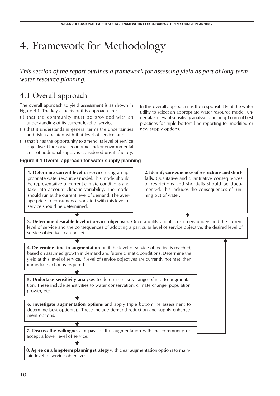# <span id="page-9-0"></span>4. Framework for Methodology

*This section of the report outlines a framework for assessing yield as part of long-term water resource planning.*

#### 4.1 Overall approach

The overall approach to yield assessment is as shown in Figure 4-1. The key aspects of this approach are:

- (i) that the community must be provided with an understanding of its current level of service,
- (ii) that it understands in general terms the uncertainties and risk associated with that level of service, and
- (iii) that it has the opportunity to amend its level of service objective if the social, economic and/or environmental cost of additional supply is considered unsatisfactory.

#### **Figure 4-1 Overall approach for water supply planning**

**1. Determine current level of service** using an appropriate water resources model. This model should be representative of current climate conditions and take into account climatic variability. The model should run at the current level of demand. The average price to consumers associated with this level of service should be determined.

In this overall approach it is the responsibility of the water utility to select an appropriate water resource model, undertake relevant sensitivity analyses and adopt current best practices for triple bottom line reporting for modified or new supply options.

**2. Identify consequences of restrictions and short**falls. Qualitative and quantitative consequences of restrictions and shortfalls should be documented. This includes the consequences of running out of water.

**3. Determine desirable level of service objectives.** Once a utility and its customers understand the current level of service and the consequences of adopting a particular level of service objective, the desired level of service objectives can be set.

**4. Determine time to augmentation** until the level of service objective is reached, based on assumed growth in demand and future climatic conditions. Determine the yield at this level of service. If level of service objectives are currently not met, then immediate action is required.

**5. Undertake sensitivity analyses** to determine likely range oftime to augmentation. These include sensitivities to water conservation, climate change, population growth, etc.

**6. Investigate augmentation options** and apply triple bottomline assessment to determine best option(s). These include demand reduction and supply enhancement options.

**7. Discuss the willingness to pay** for this augmentation with the community or accept a lower level of service.

**8. Agree on a long-term planning strategy** with clear augmentation options to maintain level of service objectives.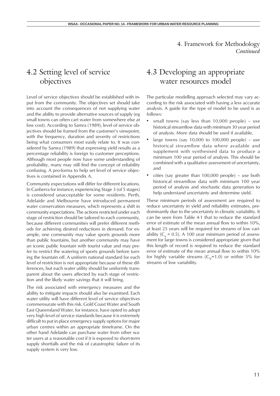#### <span id="page-10-0"></span>4.2 Setting level of service objectives

Level of service objectives should be established with input from the community. The objectives set should take into account the consequences of not supplying water and the ability to provide alternative sources of supply (eg small towns can often cart water from somewhere else at low cost). According to Samra (1989), level of service objectives should be framed from the customer's viewpoint, with the frequency, duration and severity of restrictions being what consumers most easily relate to. It was considered by Samra (1989) that expressing yield results as a percentage reliability is foreign to customer perceptions. Although most people now have some understanding of probability, many may still find the concept of reliability confusing. A pro-forma to help set level of service objectives is contained in Appendix A.

Community expectations will differ for different locations. In Canberra for instance, experiencing Stage 3 (of 5 stages) is considered unacceptable for some residents. Perth, Adelaide and Melbourne have introduced permanent water conservation measures, which represents a shift in community expectations. The actions restricted under each stage of restriction should be tailored to each community, because different communities will prefer different methods for achieving desired reductions in demand. For example, one community may value sports grounds more than public fountains, but another community may have an iconic public fountain with tourist value and may prefer to restrict the watering of sports grounds before turning the fountain off. A uniform national standard for each level of restriction is not appropriate because of these differences, but each water utility should be uniformly transparent about the users affected by each stage of restriction and the likely water savings that it will bring.

The risk associated with emergency measures and the ability to mitigate impacts should also be examined. Each water utility will have different level of service objectives commensurate with this risk. Gold Coast Water and South East Queensland Water, for instance, have opted to adopt very high level of service standards because it is extremely difficult to put in place emergency supply options for major urban centres within an appropriate timeframe. On the other hand Adelaide can purchase water from other water users at a reasonable cost if it is exposed to short-term supply shortfalls and the risk of catastrophic failure of its supply system is very low.

#### 4.3 Developing an appropriate water resources model

The particular modelling approach selected may vary according to the risk associated with having a less accurate analysis. A guide for the type of model to be used is as follows:

- small towns (say less than 10,000 people) use historical streamflow data with minimum 30 year period of analysis. More data should be used if available,
- large towns (say  $10,000$  to  $100,000$  people) use historical streamflow data where available and supplement with synthesised data to produce a minimum 100 year period of analysis. This should be combined with a qualitative assessment of uncertainty, and
- cities (say greater than 100,000 people) use both historical streamflow data with minimum 100 year period of analysis and stochastic data generation to help understand uncertainty and determine yield.

These minimum periods of assessment are required to reduce uncertainty in yield and reliability estimates, predominantly due to the uncertainty in climatic variability. It can be seen from Table 4-1 that to reduce the standard error of estimate of the mean annual flow to within 10%, at least 25 years will be required for streams of low variability ( $C_v$  < 0.5). A 100 year minimum period of assessment for large towns is considered appropriate given that this length of record is required to reduce the standard error of estimate of the mean annual flow to within 10% for highly variable streams  $(C<sub>v</sub>=1.0)$  or within 5% for streams of low variability.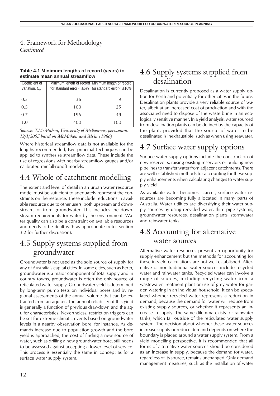#### <span id="page-11-0"></span>4. Framework for Methodology

*Continued*

#### **Table 4-1 Minimum lengths of record (years) to estimate mean annual streamflow**

| Coefficient of<br>variation, $C_v$ |     | Minimum length of record   Minimum length of record<br>for standard error $\leq \pm 5\%$ for standard error $\leq \pm 10\%$ |
|------------------------------------|-----|-----------------------------------------------------------------------------------------------------------------------------|
| 0.3                                | 36  |                                                                                                                             |
| 0.5                                | 100 | 25                                                                                                                          |
| 0.7                                | 196 | 49                                                                                                                          |
| 1.0                                | 400 | 100                                                                                                                         |

*Source: T.McMahon, University of Melbourne, pers.comm. 12/1/2005 based on McMahon and Mein (1986)*

Where historical streamflow data is not available for the lengths recommended, two principal techniques can be applied to synthesise streamflow data. These include the use of regressions with nearby streamflow gauges and/or calibrated rainfall-runoff models.

## 4.4 Whole of catchment modelling

The extent and level of detail in an urban water resource model must be sufficient to adequately represent the constraints on the resource. These include reductions in available resource due to other users, both upstream and downstream, or from groundwater. This includes the downstream requirements for water by the environment. Water quality can also be a constraint on available resources and needs to be dealt with as appropriate (refer Section 3.2 for further discussion).

## 4.5 Supply systems supplied from groundwater

Groundwater is not used as the sole source of supply for any of Australia's capital cities. In some cities, such as Perth, groundwater is a major component of total supply and in country towns, groundwater is often the only source of reticulated water supply. Groundwater yield is determined by long-term pump tests on individual bores and by regional assessments of the annual volume that can be extracted from an aquifer. The annual reliability of this yield is generally a function of previous drawdown and the aquifer characteristics. Nevertheless, restriction triggers can be set for extreme climatic events based on groundwater levels in a nearby observation bore, for instance. As demands increase due to population growth and the bore yield is approached, the cost of finding a new source of water, such as drilling a new groundwater bore, still needs to be assessed against accepting a lower level of service. This process is essentially the same in concept as for a surface water supply system.

### 4.6 Supply systems supplied from desalination

Desalination is currently proposed as a water supply option for Perth and potentially for other cities in the future. Desalination plants provide a very reliable source of water, albeit at an increased cost of production and with the associated need to dispose of the waste brine in an ecologically sensitive manner. In a yield analysis, water sourced from desalination plants can be defined by the capacity of the plant, provided that the source of water to be desalinated is inexhaustible, such as when using seawater.

## 4.7 Surface water supply options

Surface water supply options include the construction of new reservoirs, raising existing reservoirs or building new pipelines to transfer water from adjacent catchments. There are well established methods for accounting for these supply enhancements when calculating changes to water supply yield.

As available water becomes scarcer, surface water resources are becoming fully allocated in many parts of Australia. Water utilities are diversifying their water supply sources by using recycled water, third pipe systems, groundwater resources, desalination plants, stormwater and rainwater tanks.

### 4.8 Accounting for alternative water sources

Alternative water resources present an opportunity for supply enhancement but the methods for accounting for these in yield calculations are not well established. Alternative or non-traditional water sources include recycled water and rainwater tanks. Recycled water can involve a range of sources, including recycling water from a wastewater treatment plant or use of grey water for garden watering in an individual household. It can be speculated whether recycled water represents a reduction in demand, because the demand for water will reduce from existing supply sources, or whether it represents an increase in supply. The same dilemma exists for rainwater tanks, which fall outside of the reticulated water supply system. The decision about whether these water sources increase supply or reduce demand depends on where the boundary is placed around a water supply system. From a yield modelling perspective, it is recommended that all forms of alternative water sources should be considered as an increase in supply, because the demand for water, regardless of its source, remains unchanged. Only demand management measures, such as the installation of water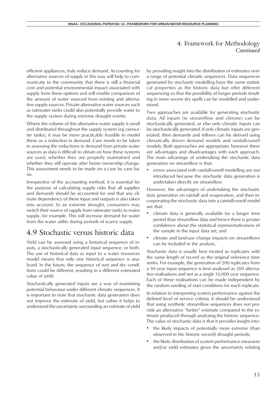<span id="page-12-0"></span>efficient appliances, truly reduce demand. Accounting for alternative sources of supply in this way will help to communicate to the community that there is still a financial cost and potential environmental impact associated with supply from these options and will enable comparison of the amount of water sourced from existing and alternative supply sources. Private alternative water sources such as rainwater tanks could also potentially provide water to the supply system during extreme drought events.

Where the volume of this alternative water supply is small and distributed throughout the supply system (eg rainwater tanks), it may be more practicably feasible to model these as a reduction in demand. Care needs to be taken in assessing the reductions in demand from private water sources as data is difficult to obtain on how these systems are used, whether they are properly maintained and whether they still operate after home ownership change. This assessment needs to be made on a case by case basis.

Irrespective of the accounting method, it is essential for the purpose of calculating supply risks that all supplies and demands should be accounted for and that any climate dependency of these input and outputs is also taken into account. In an extreme drought, consumers may switch their source of supply from rainwater tanks to mains supply, for example. This will increase demand for water from the water utility during periods of scarce supply.

#### 4.9 Stochastic versus historic data

Yield can be assessed using a historical sequence of inputs, a stochastically generated input sequence, or both. The use of historical data as input to a water resources model means that only one historical sequence is analysed. In the future, the sequence of wet and dry conditions could be different, resulting in a different estimated value of yield.

Stochastically generated inputs are a way of examining potential behaviour under different climatic sequences. It is important to note that stochastic data generation does not improve the estimate of yield, but rather it helps to understand the uncertainty surrounding an estimate of yield by providing insight into the distribution of estimates over a range of potential climatic sequences. Data sequences generated by stochastic modelling have the same statistical properties as the historic data but offer different sequencing so that the possibility of longer periods resulting in more severe dry spells can be modelled and understood.

Two approaches are available for generating stochastic data. All inputs (ie streamflow and climate) can be stochastically generated, or else only climatic inputs can be stochastically generated. If only climatic inputs are generated, then demands and inflows can be derived using climatically driven demand models and rainfall-runoff models. Both approaches are appropriate, however there are advantages and disadvantages with each approach. The main advantage of undertaking the stochastic data generation on streamflow is that:

• errors associated with rainfall-runoff modelling are not introduced because the stochastic data generation is undertaken directly on streamflow.

However, the advantages of undertaking the stochastic data generation on rainfall and evaporation, and then incorporating the stochastic data into a rainfall-runoff model are that:

- climate data is generally available for a longer time period than streamflow data and hence there is greater confidence about the statistical representativeness of the sample in the input data set; and
- climate and land-use change impacts on streamflows can be included in the analysis.

Stochastic data is usually best treated as replicates with the same length of record as the original reference time series. For example, the generation of 200 replicates from a 50 year input sequence is best analysed as 200 alternative realisations and not as a single 10,000 year sequence. Each of these realisations can be made independent by the random seeding of start conditions for each replicate.

In relation to interpreting system performance against the defined level of service criteria, it should be understood that using synthetic streamflow sequences does not provide an alternative "better" estimate compared to the estimate produced through analysing the historic sequence. The value of stochastic data is that it provides insight into:

- the likely impacts of potentially more extreme (than observed in the historic record) drought periods;
- the likely distribution of system performance measures and/or yield estimates given the uncertainty relating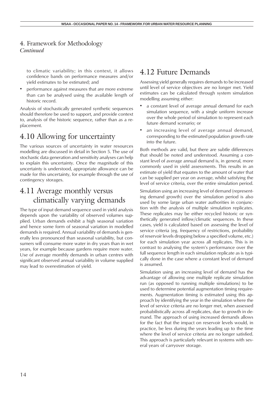<span id="page-13-0"></span>to climatic variability; in this context, it allows confidence bands on performance measures and/or yield estimates to be estimated; and

• performance against measures that are more extreme than can be analysed using the available length of historic record.

Analysis of stochastically generated synthetic sequences should therefore be used to support, and provide context to, analysis of the historic sequence, rather than as a replacement.

### 4.10 Allowing for uncertainty

The various sources of uncertainty in water resources modelling are discussed in detail in Section 5. The use of stochastic data generation and sensitivity analyses can help to explain this uncertainty. Once the magnitude of this uncertainty is understood, appropriate allowance can be made for this uncertainty, for example through the use of contingency storages.

### 4.11 Average monthly versus climatically varying demands

The type of input demand sequence used in yield analysis depends upon the variability of observed volumes supplied. Urban demands exhibit a high seasonal variation and hence some form of seasonal variation in modelled demands is required. Annual variability of demands is generally less pronounced than seasonal variability, but consumers will consume more water in dry years than in wet years, for example because gardens require more water. Use of average monthly demands in urban centres with significant observed annual variability in volume supplied may lead to overestimation of yield.

#### 4.12 Future Demands

Assessing yield generally requires demands to be increased until level of service objectives are no longer met. Yield estimates can be calculated through system simulation modelling assuming either:

- a constant level of average annual demand for each simulation sequence, with a single uniform increase over the whole period of simulation to represent each future demand scenario; or
- an increasing level of average annual demand, corresponding to the estimated population growth rate into the future.

Both methods are valid, but there are subtle differences that should be noted and understood. Assuming a constant level of average annual demand is, in general, more commonly used in yield assessments. This results in an estimate of yield that equates to the amount of water that can be supplied per year on average, whilst satisfying the level of service criteria, over the entire simulation period.

Simulation using an increasing level of demand (representing demand growth) over the simulation period is also used by some large urban water authorities in conjunction with the analysis of multiple simulation replicates. These replicates may be either recycled historic or synthetically generated inflow/climatic sequences. In these cases, yield is calculated based on assessing the level of service criteria (eg. frequency of restrictions, probability of reservoir levels dropping below a specified volume, etc.) for each simulation year across all replicates. This is in contrast to analysing the system's performance over the full sequence length in each simulation replicate as is typically done in the case where a constant level of demand is assumed.

Simulation using an increasing level of demand has the advantage of allowing one multiple replicate simulation run (as opposed to running multiple simulations) to be used to determine potential augmentation timing requirements. Augmentation timing is estimated using this approach by identifying the year in the simulation where the level of service criteria are no longer met, when assessed probabilistically across all replicates, due to growth in demand. The approach of using increased demands allows for the fact that the impact on reservoir levels would, in practice, be less during the years leading up to the time where the level of service criteria are no longer satisfied. This approach is particularly relevant in systems with several years of carryover storage.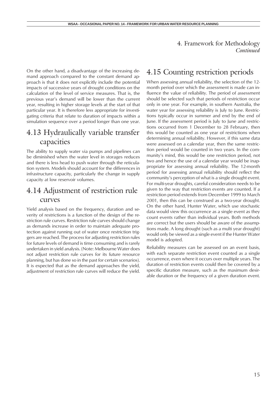<span id="page-14-0"></span>On the other hand, a disadvantage of the increasing demand approach compared to the constant demand approach is that it does not explicitly include the potential impacts of successive years of drought conditions on the calculation of the level of service measures. That is, the previous year's demand will be lower than the current year, resulting in higher storage levels at the start of that particular year. It is therefore less appropriate for investigating criteria that relate to duration of impacts within a simulation sequence over a period longer than one year.

### 4.13 Hydraulically variable transfer capacities

The ability to supply water via pumps and pipelines can be diminished when the water level in storages reduces and there is less head to push water through the reticulation system. Models should account for the differences in infrastructure capacity, particularly the change in supply capacity at low reservoir volumes.

#### 4.14 Adjustment of restriction rule curves

Yield analysis based on the frequency, duration and severity of restrictions is a function of the design of the restriction rule curves. Restriction rule curves should change as demands increase in order to maintain adequate protection against running out of water once restriction triggers are reached. The process for adjusting restriction rules for future levels of demand is time consuming and is rarely undertaken in yield analysis. (Note: Melbourne Water does not adjust restriction rule curves for its future resource planning, but has done so in the past for certain scenarios). It is expected that as the demand approaches the yield, adjustment of restriction rule curves will reduce the yield.

### 4.15 Counting restriction periods

When assessing annual reliability, the selection of the 12 month period over which the assessment is made can influence the value of reliability. The period of assessment should be selected such that periods of restriction occur only in one year. For example, in southern Australia, the water year for assessing reliability is July to June. Restrictions typically occur in summer and end by the end of June. If the assessment period is July to June and restrictions occurred from 1 December to 28 February, then this would be counted as one year of restrictions when determining annual reliability. However, if this same data were assessed on a calendar year, then the same restriction period would be counted in two years. In the community's mind, this would be one restriction period, not two and hence the use of a calendar year would be inappropriate for assessing annual reliability. The 12-month period for assessing annual reliability should reflect the community's perception of what is a single drought event. For multi-year droughts, careful consideration needs to be given to the way that restriction events are counted. If a restriction period extends from December 1999 to March 2001, then this can be construed as a two-year drought. On the other hand, Hunter Water, which use stochastic data would view this occurrence as a single event as they count events rather than individual years. Both methods are correct but the users should be aware of the assumptions made. A long drought (such as a multi year drought) would only be viewed as a single event if the Hunter Water model is adopted.

Reliability measures can be assessed on an event basis, with each separate restriction event counted as a single occurrence, even where it occurs over multiple years. The duration of restriction events could then be covered by a specific duration measure, such as the maximum desirable duration or the frequency of a given duration event.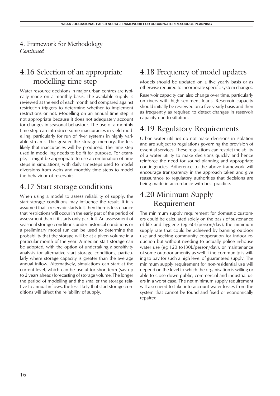#### <span id="page-15-0"></span>4.16 Selection of an appropriate modelling time step

Water resource decisions in major urban centres are typically made on a monthly basis. The available supply is reviewed at the end of each month and compared against restriction triggers to determine whether to implement restrictions or not. Modelling on an annual time step is not appropriate because it does not adequately account for changes in seasonal behaviour. The use of a monthly time step can introduce some inaccuracies in yield modelling, particularly for run of river systems in highly variable streams. The greater the storage memory, the less likely that inaccuracies will be produced. The time step used in modelling needs to be fit for purpose. For example, it might be appropriate to use a combination of time steps in simulations, with daily timesteps used to model diversions from weirs and monthly time steps to model the behaviour of reservoirs.

#### 4.17 Start storage conditions

When using a model to assess reliability of supply, the start storage conditions may influence the result. If it is assumed that a reservoir starts full, then there is less chance that restrictions will occur in the early part of the period of assessment than if it starts only part full. An assessment of seasonal storage conditions under historical conditions or a preliminary model run can be used to determine the probability that the storage will be at a given volume in a particular month of the year. A median start storage can be adopted, with the option of undertaking a sensitivity analysis for alternative start storage conditions, particularly where storage capacity is greater than the average annual inflow. Alternatively, simulations can start at the current level, which can be useful for short-term (say up to 2 years ahead) forecasting of storage volume. The longer the period of modelling and the smaller the storage relative to annual inflows, the less likely that start storage conditions will affect the reliability of supply.

## 4.18 Frequency of model updates

Models should be updated on a five yearly basis or as otherwise required to incorporate specific system changes.

Reservoir capacity can also change over time, particularly on rivers with high sediment loads. Reservoir capacity should initially be reviewed on a five yearly basis and then as frequently as required to detect changes in reservoir capacity due to siltation.

#### 4.19 Regulatory Requirements

Urban water utilities do not make decisions in isolation and are subject to regulations governing the provision of essential services. These regulations can restrict the ability of a water utility to make decisions quickly and hence reinforce the need for sound planning and appropriate contingencies. Adherence to the above framework will encourage transparency in the approach taken and give reassurance to regulatory authorities that decisions are being made in accordance with best practice.

### 4.20 Minimum Supply Requirement

The minimum supply requirement for domestic customers could be calculated solely on the basis of sustenance of life and hygiene (eg 60L/person/day), the minimum supply rate that could be achieved by banning outdoor use and seeking community cooperation for indoor reduction but without needing to actually police in-house water use (eg 120 to130L/person/day), or maintenance of some outdoor amenity as well if the community is willing to pay for such a high level of guaranteed supply. The minimum supply requirement for non-residential use will depend on the level to which the organisation is willing or able to close down public, commercial and industrial users in a worst case. The net minimum supply requirement will also need to take into account water losses from the system that cannot be found and fixed or economically repaired.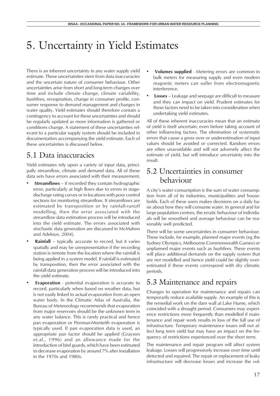# <span id="page-16-0"></span>5. Uncertainty in Yield Estimates

There is an inherent uncertainty in any water supply yield estimate. These uncertainties stem from data inaccuracies and the uncertain nature of consumer behaviour. Other uncertainties arise from short and long-term changes over time and include climate change, climate variability, bushfires, revegetation, change in consumer profile, consumer response to demand management and changes in water quality. Yield estimates should therefore contain a contingency to account for these uncertainties and should be regularly updated as more information is gathered or conditions change. A statement of these uncertainties relevant to a particular supply system should be included in documentation accompanying the yield estimate. Each of these uncertainties is discussed below.

## 5.1 Data inaccuracies

Yield estimates rely upon a variety of input data, principally streamflow, climate and demand data. All of these data sets have errors associated with their measurement.

- **Streamflows** if recorded they contain hydrographic error, particularly at high flows due to errors in stagedischarge rating curves or in locations with poor control sections for monitoring streamflow. If streamflows are estimated by transposition or by rainfall-runoff modelling, then the error associated with the streamflow data estimation process will be introduced into the yield estimate. The errors associated with stochastic data generation are discussed in McMahon and Adeloye, 2004).
- **Rainfall**  typically accurate to record, but it varies spatially and may be unrepresentative if the recording station is remote from the location where the rainfall is being applied in a system model. If rainfall is estimated by transposition, then the error associated with the rainfall data generation process will be introduced into the yield estimate.
- **Evaporation**  potential evaporation is accurate to record, particularly when based on weather data, but is not easily linked to actual evaporation from an open water body. In the Climatic Atlas of Australia, the Bureau of Meteorology recommends that evaporation from major reservoirs should be the unknown term in any water balance. This is rarely practical and hence pan evaporation or Penman-Monteith evaporation is typically used. If pan evaporation data is used, an appropriate pan factor should be applied (Grayson et.al., 1996) and an allowance made for the introduction of bird guards, which have been estimated to decrease evaporation by around 7% after installation in the 1970s and 1980s.
- **Volumes supplied**  Metering errors are common in bulk meters for measuring supply and even modern magnetic meters can suffer from electromagnetic interference.
- **Losses**  Leakage and seepage are difficult to measure and they can impact on yield. Prudent estimates for these factors need to be taken into consideration when undertaking yield estimates.

All of these inherent inaccuracies mean that an estimate of yield is itself uncertain, even before taking account of other influencing factors. The elimination of systematic errors that cause a gross over or underestimation of input values should be avoided or corrected. Random errors are often unavoidable and will not adversely affect the estimate of yield, but will introduce uncertainty into the result.

#### 5.2 Uncertainties in consumer behaviour

A city's water consumption is the sum of water consumption from all of its industries, municipalities and households. Each of these users makes decisions on a daily basis about how they will consume water. In general and for large population centres, the erratic behaviour of individuals will be smoothed and average behaviour can be reasonably well predicted.

There will be some uncertainties in consumer behaviour. These include, for example, planned major events (eg the Sydney Olympics, Melbourne Commonwealth Games) or unplanned major events such as bushfires. These events will place additional demands on the supply system that are not modelled and hence yield could be slightly overestimated if these events correspond with dry climatic periods.

## 5.3 Maintenance and repairs

Changes to operation for maintenance and repairs can temporarily reduce available supply. An example of this is the remedial work on the dam wall at Lake Hume, which coincided with a drought period. Consumers may experience restrictions more frequently than modelled if maintenance and repair work results in loss of the full use of infrastructure. Temporary maintenance issues will not affect long term yield but may have an impact on the frequency of restrictions experienced over the short term.

The maintenance and repair program will affect system leakage. Losses will progressively increase over time until detected and repaired. The repair or replacement of leaky infrastructure will decrease losses and increase the vol-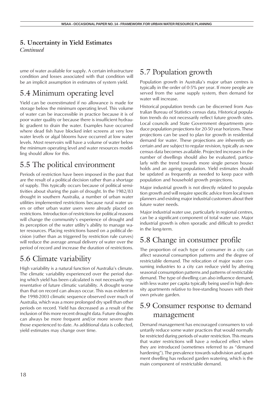#### <span id="page-17-0"></span>**5. Uncertainty in Yield Estimates**

*Continued*

ume of water available for supply. A certain infrastructure condition and losses associated with that condition will be an implicit assumption in estimates of system yield.

## 5.4 Minimum operating level

Yield can be overestimated if no allowance is made for storage below the minimum operating level. This volume of water can be inaccessible in practice because it is of poor water quality or because there is insufficient hydraulic gradient to drain the water. Examples have occurred where dead fish have blocked inlet screens at very low water levels or algal blooms have occurred at low water levels. Most reservoirs will have a volume of water below the minimum operating level and water resources modelling should allow for this.

## 5.5 The political environment

Periods of restriction have been imposed in the past that are the result of a political decision rather than a shortage of supply. This typically occurs because of political sensitivities about sharing the pain of drought. In the 1982/83 drought in southern Australia, a number of urban water utilities implemented restrictions because rural water users or other urban water users were already placed on restrictions. Introduction of restrictions for political reasons will change the community's experience of drought and its perception of the water utility's ability to manage water resources. Placing restrictions based on a political decision (rather than as triggered by restriction rule curves) will reduce the average annual delivery of water over the period of record and increase the duration of restrictions.

## 5.6 Climate variability

High variability is a natural function of Australia's climate. The climatic variability experienced over the period during which yield has been calculated is not necessarily representative of future climatic variability. A drought worse than that on record can always occur. This was evident in the 1998-2003 climatic sequence observed over much of Australia, which was a more prolonged dry spell than other periods on record. Yield has decreased as a result of the inclusion of this more recent drought data. Future droughts can always be more frequent and/or more severe than those experienced to date. As additional data is collected, yield estimates may change over time.

## 5.7 Population growth

Population growth in Australia's major urban centres is typically in the order of 0-5% per year. If more people are served from the same supply system, then demand for water will increase.

Historical population trends can be discerned from Australian Bureau of Statistics census data. Historical population trends do not necessarily reflect future growth rates. Local councils and State Government departments produce population projections for 20-50 year horizons. These projections can be used to plan for growth in residential demand for water. These projections are inherently uncertain and are subject to regular revision, typically as new census data becomes available. Projected increases in the number of dwellings should also be evaluated, particularly with the trend towards more single person households and an ageing population. Yield estimates should be updated as frequently as needed to keep pace with population and household growth projections.

Major industrial growth is not directly related to population growth and will require specific advice from local town planners and existing major industrial customers about their future water needs.

Major industrial water use, particularly in regional centres, can be a significant component of total water use. Major industrial growth is often sporadic and difficult to predict in the long-term.

#### 5.8 Change in consumer profile

The proportion of each type of consumer in a city can affect seasonal consumption patterns and the degree of restrictable demand. The relocation of major water consuming industries to a city can reduce yield by altering seasonal consumption patterns and patterns of restrictable demand. The type of dwelling can also influence demand, with less water per capita typically being used in high density apartments relative to free-standing houses with their own private garden.

#### 5.9 Consumer response to demand management

Demand management has encouraged consumers to voluntarily reduce some water practices that would normally be restricted during periods of water restriction. This means that water restrictions will have a reduced effect when they are introduced (sometimes referred to as "demand hardening"). The prevalence towards subdivision and apartment dwelling has reduced garden watering, which is the main component of restrictable demand.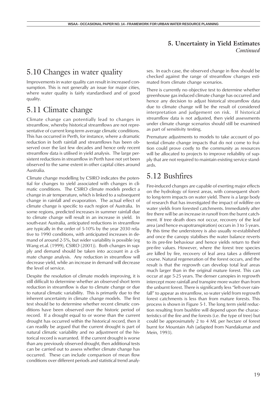#### **5. Uncertainty in Yield Estimates** *Continued*

## <span id="page-18-0"></span>5.10 Changes in water quality

Improvements in water quality can result in increased consumption. This is not generally an issue for major cities, where water quality is fairly standardised and of good quality.

### 5.11 Climate change

Climate change can potentially lead to changes in streamflow, whereby historical streamflows are not representative of current long-term average climatic conditions. This has occurred in Perth, for instance, where a dramatic reduction in both rainfall and streamflows has been observed over the last few decades and hence only recent streamflow data is utilised in yield analysis. The large persistent reductions in streamflow in Perth have not yet been observed to the same extent in other capital cities around Australia.

Climate change modelling by CSIRO indicates the potential for changes to yield associated with changes in climatic conditions. The CSIRO climate models predict a change in air temperature, which is linked to a subsequent change in rainfall and evaporation. The actual effect of climate change is specific to each region of Australia. In some regions, predicted increases in summer rainfall due to climate change will result in an increase in yield. In south-east Australia, anticipated reductions in streamflow are typically in the order of 5-10% by the year 2030 relative to 1990 conditions, with anticipated increases in demand of around 2-5%, but wider variability is possible (eg Wang et.al. (1999), CSIRO (2001)). Both changes in supply and demand should be taken into account in a climate change analysis. Any reduction in streamflow will decrease yield, while an increase in demand will decrease the level of service.

Despite the resolution of climate models improving, it is still difficult to determine whether an observed short term reduction in streamflow is due to climate change or due to natural climatic variability. This is primarily due to the inherent uncertainty in climate change models. The first test should be to determine whether recent climatic conditions have been observed over the historic period of record. If a drought equal to or worse than the current drought has occurred within the historical record, then it can readily be argued that the current drought is part of natural climatic variability and no adjustment of the historical record is warranted. If the current drought is worse than any previously observed drought, then additional tests can be carried out to assess whether climate change has occurred. These can include comparison of mean flow conditions over different periods and statistical trend analyses. In each case, the observed change in flow should be checked against the range of streamflow changes estimated from climate change scenarios.

There is currently no objective test to determine whether greenhouse gas induced climate change has occurred and hence any decision to adjust historical streamflow data due to climate change will be the result of considered interpretation and judgement on risk. If historical streamflow data is not adjusted, then yield assessments under climate change scenarios should still be examined as part of sensitivity testing.

Premature adjustments to models to take account of potential climate change impacts that do not come to fruition could prove costly to the community as resources will be allocated to projects to improve reliability of supply that are not required to maintain existing service standards.

## 5.12 Bushfires

Fire-induced changes are capable of exerting major effects on the hydrology of forest areas, with consequent shortto long-term impacts on water yield. There is a large body of research that has investigated the impact of wildfire on water yields from forested catchments. Immediately after fire there will be an increase in runoff from the burnt catchment. If tree death does not occur, recovery of the leaf area (and hence evapotranspiration) occurs in 3 to 5 years. By this time the understorey is also usually re-established and once the canopy stabilises the water balance reverts to its pre-fire behaviour and hence yields return to their pre-fire values. However, where the forest tree species are killed by fire, recovery of leaf area takes a different course. Natural regeneration of the forest occurs, and the result is that the regrowth can develop total leaf areas much larger than in the original mature forest. This can occur at age 5-25 years. The denser canopies in regrowth intercept more rainfall and transpire more water than from the unburnt forest. There is significantly less "left-over rainfall" to appear as streamflow, so water yield from regrowth forest catchments is less than from mature forests. This process is shown in Figure 5-1. The long term yield reduction resulting from bushfire will depend upon the characteristics of the fire and the forests (i.e. the type of tree) but could be approximately 2 to 4 ML per hectare of forest burnt for Mountain Ash (adapted from Nandakumar and Mein, 1993).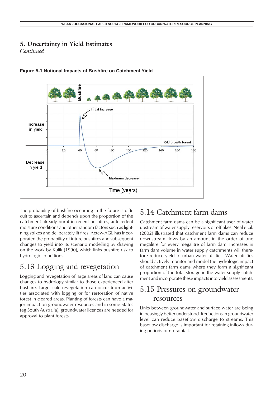#### <span id="page-19-0"></span>**5. Uncertainty in Yield Estimates**

*Continued*





The probability of bushfire occurring in the future is difficult to ascertain and depends upon the proportion of the catchment already burnt in recent bushfires, antecedent moisture conditions and other random factors such as lightning strikes and deliberately lit fires. Actew-AGL has incorporated the probability of future bushfires and subsequent changes to yield into its scenario modelling by drawing on the work by Kulik (1990), which links bushfire risk to hydrologic conditions.

# 5.13 Logging and revegetation

Logging and revegetation of large areas of land can cause changes to hydrology similar to those experienced after bushfire. Large-scale revegetation can occur from activities associated with logging or for restoration of native forest in cleared areas. Planting of forests can have a major impact on groundwater resources and in some States (eg South Australia), groundwater licences are needed for approval to plant forests.

## 5.14 Catchment farm dams

Catchment farm dams can be a significant user of water upstream of water supply reservoirs or offtakes. Neal et.al. (2002) illustrated that catchment farm dams can reduce downstream flows by an amount in the order of one megalitre for every megalitre of farm dam. Increases in farm dam volume in water supply catchments will therefore reduce yield to urban water utilities. Water utilities should actively monitor and model the hydrologic impact of catchment farm dams where they form a significant proportion of the total storage in the water supply catchment and incorporate these impacts into yield assessments.

## 5.15 Pressures on groundwater resources

Links between groundwater and surface water are being increasingly better understood. Reductions in groundwater level can reduce baseflow discharge to streams. This baseflow discharge is important for retaining inflows during periods of no rainfall.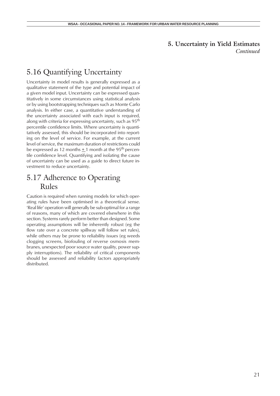# **5. Uncertainty in Yield Estimates**

*Continued*

## <span id="page-20-0"></span>5.16 Quantifying Uncertainty

Uncertainty in model results is generally expressed as a qualitative statement of the type and potential impact of a given model input. Uncertainty can be expressed quantitatively in some circumstances using statistical analysis or by using bootstrapping techniques such as Monte Carlo analysis. In either case, a quantitative understanding of the uncertainty associated with each input is required, along with criteria for expressing uncertainty, such as 95<sup>th</sup> percentile confidence limits. Where uncertainty is quantitatively assessed, this should be incorporated into reporting on the level of service. For example, at the current level of service, the maximum duration of restrictions could be expressed as 12 months  $\pm$  1 month at the 95<sup>th</sup> percentile confidence level. Quantifying and isolating the cause of uncertainty can be used as a guide to direct future investment to reduce uncertainty.

#### 5.17 Adherence to Operating Rules

Caution is required when running models for which operating rules have been optimised in a theoretical sense. 'Real life' operation will generally be sub-optimal for a range of reasons, many of which are covered elsewhere in this section. Systems rarely perform better than designed. Some operating assumptions will be inherently robust (eg the flow rate over a concrete spillway will follow set rules), while others may be prone to reliability issues (eg weeds clogging screens, biofouling of reverse osmosis membranes, unexpected poor source water quality, power supply interruptions). The reliability of critical components should be assessed and reliability factors appropriately distributed.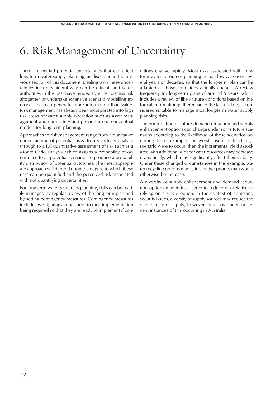# <span id="page-21-0"></span>6. Risk Management of Uncertainty

There are myriad potential uncertainties that can affect long-term water supply planning, as discussed in the previous section of this document. Dealing with these uncertainties in a meaningful way can be difficult and water authorities in the past have tended to either dismiss risk altogether or undertake extensive scenario modelling exercises that can generate more information than value. Risk management has already been incorporated into high risk areas of water supply operation such as asset management and dam safety and provide useful conceptual models for long-term planning.

Approaches to risk management range from a qualitative understanding of potential risks, to a sensitivity analysis through to a full quantitative assessment of risk such as a Monte Carlo analysis, which assigns a probability of occurrence to all potential scenarios to produce a probability distribution of potential outcomes. The most appropriate approach will depend upon the degree to which these risks can be quantified and the perceived risk associated with not quantifying uncertainties.

For long-term water resources planning, risks can be readily managed by regular review of the long-term plan and by setting contingency measures. Contingency measures include investigating actions prior to their implementation being required so that they are ready to implement if conditions change rapidly. Most risks associated with longterm water resources planning occur slowly, ie over several years or decades, so that the long-term plan can be adapted as those conditions actually change. A review frequency for long-term plans of around 5 years, which includes a review of likely future conditions based on historical information gathered since the last update, is considered suitable to manage most long-term water supply planning risks.

The prioritisation of future demand reduction and supply enhancement options can change under some future scenarios according to the likelihood of those scenarios occurring. If, for example, the worst case climate change scenario were to occur, then the incremental yield associated with additional surface water resources may decrease dramatically, which may significantly affect their viability. Under these changed circumstances in this example, water recycling options may gain a higher priority than would otherwise be the case.

A diversity of supply enhancement and demand reduction options may in itself serve to reduce risk relative to relying on a single option. In the context of homeland security issues, diversity of supply sources may reduce the vulnerability of supply, however there have been no recent instances of this occurring in Australia.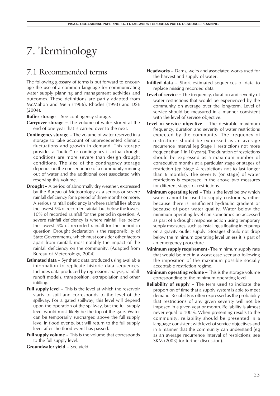# 7. Terminology

#### 7.1 Recommended terms

The following glossary of terms is put forward to encourage the use of a common language for communicating water supply planning and management activities and outcomes. These definitions are partly adapted from McMahon and Mein (1986), Rhodes (1993) and DSE (2004).

**Buffer storage** – See contingency storage.

- **Carryover storage** The volume of water stored at the end of one year that is carried over to the next.
- **Contingency storage** The volume of water reserved in a storage to take account of unprecedented climatic fluctuations and growth in demand. This storage provides a "buffer" or contingency if actual drought conditions are more severe than design drought conditions. The size of the contingency storage depends on the consequence of a community running out of water and the additional cost associated with reserving this volume.
- **Drought** A period of abnormally dry weather, expressed by the Bureau of Meteorology as a serious or severe rainfall deficiency for a period of three months or more. A serious rainfall deficiency is where rainfall lies above the lowest 5% of recorded rainfall but below the lowest 10% of recorded rainfall for the period in question. A severe rainfall deficiency is where rainfall lies below the lowest 5% of recorded rainfall for the period in question. Drought declaration is the responsibility of State Governments, which must consider other factors apart from rainfall, most notably the impact of the rainfall deficiency on the community. (Adapted from Bureau of Meteorology, 2004).
- **Estimated data**  Synthetic data produced using available information to replicate historic data sequences. Includes data produced by regression analysis, rainfallrunoff models, transposition, extrapolation and other infilling.
- **Full supply level -** This is the level at which the reservoir starts to spill and corresponds to the level of the spillway. For a gated spillway, this level will depend upon the operation of the spillway, but the full supply level would most likely be the top of the gate. Water can be temporarily surcharged above the full supply level in flood events, but will return to the full supply level after the flood event has passed.
- **Full supply volume**  This is the volume that corresponds to the full supply level.

**Groundwater yield** – See yield.

- **Headworks** Dams, weirs and associated works used for the harvest and supply of water.
- **Infilled data**  Short estimated sequences of data to replace missing recorded data.
- **Level of service** The frequency, duration and severity of water restrictions that would be experienced by the community on average over the long-term. Level of service should be measured in a manner consistent with the level of service objective.
- **Level of service objective**  The desirable maximum frequency, duration and severity of water restrictions expected by the community. The frequency of restrictions should be expressed as an average recurrence interval (eg Stage 1 restrictions not more frequent than 1 in 10 years). The duration of restrictions should be expressed as a maximum number of consecutive months at a particular stage or stages of restriction (eg Stage 4 restrictions not to last longer than 6 months). The severity (or stage) of water restrictions is expressed in the above two measures for different stages of restrictions.
- **Minimum operating level** This is the level below which water cannot be used to supply customers, either because there is insufficient hydraulic gradient or because of poor water quality. Water below the minimum operating level can sometimes be accessed as part of a drought response action using temporary supply measures, such as installing a floating inlet pump on a gravity outlet supply. Storages should not drop below the minimum operating level unless it is part of an emergency procedure.
- **Minimum supply requirement** The minimum supply rate that would be met in a worst case scenario following the imposition of the maximum possible socially acceptable restriction regime.
- **Minimum operating volume** This is the storage volume corresponding to the minimum operating level.
- **Reliability of supply**  The term used to indicate the proportion of time that a supply system is able to meet demand. Reliability is often expressed as the probability that restrictions of any given severity will not be imposed in a given year or month. Reliability is almost never equal to 100%. When presenting results to the community, reliability should be presented in a language consistent with level of service objectives and in a manner that the community can understand (eg as an average recurrence interval of restrictions; see SKM (2003) for further discussion).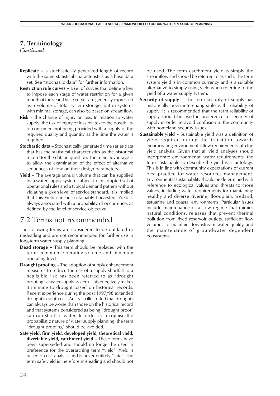#### <span id="page-23-0"></span>**7. Terminology**

*Continued*

- **Replicate** a stochastically generated length of record with the same statistical characteristics as a base data set. See "stochastic data" for further information.
- **Restriction rule curves** a set of curves that define when to impose each stage of water restriction for a given month of the year. These curves are generally expressed as a volume of total system storage, but in systems with minimal storage, can also be based on streamflow.
- **Risk**  the chance of injury or loss. In relation to water supply, the risk of injury or loss relates to the possibility of consumers not being provided with a supply of the required quality and quantity at the time the water is required.
- **Stochastic data** Stochastically generated time series data that has the statistical characteristics as the historical record for the data in question. The main advantage is to allow the examination of the effect of alternative sequences of flow on their design parameters.
- **Yield**  The average annual volume that can be supplied by a water supply system subject to an adopted set of operational rules and a typical demand pattern without violating a given level of service standard. It is implied that this yield can be sustainably harvested. Yield is always associated with a probability of occurrence, as defined by the level of service objective.

#### 7.2 Terms not recommended

The following terms are considered to be outdated or misleading and are not recommended for further use in long-term water supply planning:

- **Dead storage** This term should be replaced with the terms minimum operating volume and minimum operating level.
- **Drought proofing** The adoption of supply enhancement measures to reduce the risk of a supply shortfall to a negligible risk has been referred to as "drought proofing" a water supply system. This effectively makes it immune to drought based on historical records. Recent experience during the post 1997/98 extended drought in south-east Australia illustrated that droughts can always be worse than those on the historical record and that systems considered as being "drought proof" can run short of water. In order to recognise the probabilistic nature of water supply planning, the term "drought proofing" should be avoided.
- **Safe yield, firm yield, developed yield, theoretical yield, divertable yield, catchment yield** – These terms have been superseded and should no longer be used in preference for the overarching term "yield". Yield is based on risk analysis and is never entirely "safe". The term safe yield is therefore misleading and should not

be used. The term catchment yield is simply the streamflow and should be referred to as such. The term system yield is in common currency and is a suitable alternative to simply using yield when referring to the yield of a water supply system.

- **Security of supply**  The term security of supply has historically been interchangeable with reliability of supply. It is recommended that the term reliability of supply should be used in preference to security of supply in order to avoid confusion in the community with homeland security issues.
- **Sustainable yield**  Sustainable yield was a definition of yield required during the transition towards incorporating environmental flow requirements into the yield analysis. Given that all yield analyses should incorporate environmental water requirements, the term sustainable to describe the yield is a tautology. This is in line with community expectations of current best practice for water resources management. Environmental sustainability should be determined with reference to ecological values and threats to those values, including water requirements for maintaining healthy and diverse riverine, floodplain, wetland, estuarine and coastal environments. Particular issues include maintenance of a flow regime that mimics natural conditions, releases that prevent thermal pollution from fixed reservoir outlets, sufficient flow volumes to maintain downstream water quality and the maintenance of groundwater dependent ecosystems.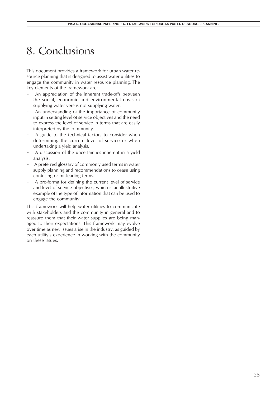# <span id="page-24-0"></span>8. Conclusions

This document provides a framework for urban water resource planning that is designed to assist water utilities to engage the community in water resource planning. The key elements of the framework are:

- An appreciation of the inherent trade-offs between the social, economic and environmental costs of supplying water versus not supplying water.
- An understanding of the importance of community input in setting level of service objectives and the need to express the level of service in terms that are easily interpreted by the community.
- A guide to the technical factors to consider when determining the current level of service or when undertaking a yield analysis.
- A discussion of the uncertainties inherent in a yield analysis.
- A preferred glossary of commonly used terms in water supply planning and recommendations to cease using confusing or misleading terms.
- A pro-forma for defining the current level of service and level of service objectives, which is an illustrative example of the type of information that can be used to engage the community.

This framework will help water utilities to communicate with stakeholders and the community in general and to reassure them that their water supplies are being managed to their expectations. This framework may evolve over time as new issues arise in the industry, as guided by each utility's experience in working with the community on these issues.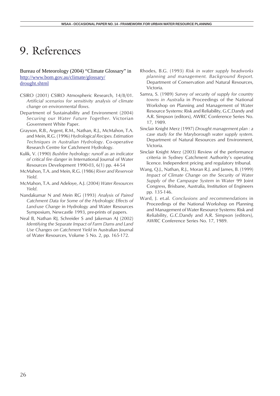# <span id="page-25-0"></span>9. References

Bureau of Meteorology (2004) "Climate Glossary" in http://www.bom.gov.au/climate/glossary/ drought.shtml

- CSIRO (2001) CSIRO Atmospheric Research, 14/8/01. *Artificial scenarios for sensitivity analysis of climate change on environmental flows*.
- Department of Sustainability and Environment (2004) *Securing our Water Future Together*. Victorian Government White Paper.
- Grayson, R.B., Argent, R.M., Nathan, R.J., McMahon, T.A. and Mein, R.G. (1996) *Hydrological Recipes. Estimation Techniques in Australian Hydrology*. Co-operative Research Centre for Catchment Hydrology.
- Kulik, V. (1990) *Bushfire hydrology: runoff as an indicator of critical fire danger* in International Journal of Water Resources Development 1990-03, 6(1) pp. 44-54
- McMahon, T.A. and Mein, R.G. (1986) *River and Reservoir Yield*.
- McMahon, T.A. and Adeloye, A.J. (2004) *Water Resources Yield*.
- Nandakumar N and Mein RG (1993) *Analysis of Paired Catchment Data for Some of the Hydrologic Effects of Land-use Change* in Hydrology and Water Resources Symposium, Newcastle 1993, pre-prints of papers.
- Neal B, Nathan RJ, Schreider S and Jakeman AJ (2002) *Identifying the Separate Impact of Farm Dams and Land Use Changes on Catchment Yield* in Australian Journal of Water Resources, Volume 5 No. 2, pp. 165-172.
- Rhodes, B.G. (1993) *Risk in water supply headworks planning and management. Background Report*. Department of Conservation and Natural Resources, Victoria.
- Samra, S. (1989) *Survey of security of supply for country towns in Australia* in Proceedings of the National Workshop on Planning and Management of Water Resource Systems: Risk and Reliability, G.C.Dandy and A.R. Simpson (editors), AWRC Conference Series No. 17, 1989.
- Sinclair Knight Merz (1997) *Drought management plan : a case study for the Maryborough water supply system*. Department of Natural Resources and Environment, Victoria.
- Sinclair Knight Merz (2003) Review of the performance criteria in Sydney Catchment Authority's operating licence. Independent pricing and regulatory tribunal.
- Wang, Q.J., Nathan, R.J., Moran R.J. and James, B. (1999) *Impact of Climate Change on the Security of Water Supply of the Campaspe System* in Water 99 Joint Congress, Brisbane, Australia, Institution of Engineers pp. 135-146.
- Ward, J. et.al. *Conclusions and recommendations* in Proceedings of the National Workshop on Planning and Management of Water Resource Systems: Risk and Reliability, G.C.Dandy and A.R. Simpson (editors), AWRC Conference Series No. 17, 1989.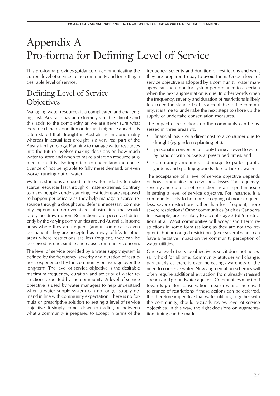# <span id="page-26-0"></span>Appendix A Pro-forma for Defining Level of Service

This pro-forma provides guidance on communicating the current level of service to the community and for setting a desirable level of service.

## Defining Level of Service **Objectives**

Managing water resources is a complicated and challenging task. Australia has an extremely variable climate and this adds to the complexity as we are never sure what extreme climate condition or drought might lie ahead. It is often stated that drought in Australia is an abnormality whereas in actual fact drought is a very real part of the Australian hydrology. Planning to manage water resources into the future involves making decisions on how much water to store and when to make a start on resource augmentation. It is also important to understand the consequence of not being able to fully meet demand, or even worse, running out of water.

Water restrictions are used in the water industry to make scarce resources last through climate extremes. Contrary to many people's understanding, restrictions are supposed to happen periodically as they help manage a scarce resource through a drought and defer unnecessary community expenditure on over sized infrastructure that would rarely be drawn upon. Restrictions are perceived differently by the varying communities around Australia. In some areas where they are frequent (and in some cases even permanent) they are accepted as a way of life. In other areas where restrictions are less frequent, they can be perceived as undesirable and cause community concern.

The level of service provided by a water supply system is defined by the frequency, severity and duration of restrictions experienced by the community on average over the long-term. The level of service objective is the desirable maximum frequency, duration and severity of water restrictions expected by the community. A level of service objective is used by water managers to help understand when a water supply system can no longer supply demand in line with community expectation. There is no formula or prescriptive solution to setting a level of service objective. It simply comes down to trading off between what a community is prepared to accept in terms of the

frequency, severity and duration of restrictions and what they are prepared to pay to avoid them. Once a level of service objective is adopted by a community, water managers can then monitor system performance to ascertain when the next augmentation is due. In other words when the frequency, severity and duration of restrictions is likely to exceed the standard set as acceptable to the community, it is time to undertake the next steps to shore up the supply or undertake conservation measures.

The impact of restrictions on the community can be assessed in three areas *viz:*

- financial loss or a direct cost to a consumer due to drought (eg garden replanting etc);
- personal inconvenience only being allowed to water by hand or with buckets at prescribed times; and
- community amenities damage to parks, public gardens and sporting grounds due to lack of water.

The acceptance of a level of service objective depends on how communities perceive these losses. The frequency, severity and duration of restrictions is an important issue in setting a level of service objective. For instance, is a community likely to be more accepting of more frequent less, severe restrictions rather than less frequent, more severe restrictions? Other communities (such as Canberra for example) are less likely to accept stage 3 (of 5) restrictions at all. Most communities will accept short term restrictions in some form (as long as they are not too frequent), but prolonged restrictions (over several years) can have a negative impact on the community perception of water utilities.

Once a level of service objective is set, it does not necessarily hold for all time. Community attitudes will change, particularly as there is ever increasing awareness of the need to conserve water. New augmentation schemes will often require additional extraction from already stressed streams and groundwater aquifers. Communities may tend towards greater conservation measures and increased tolerance of restrictions if these actions can be deferred. It is therefore imperative that water utilities, together with the community, should regularly review level of service objectives. In this way, the right decisions on augmentation timing can be made.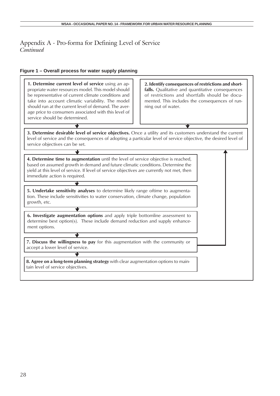#### **Figure 1 – Overall process for water supply planning**

| 1. Determine current level of service using an ap-<br>propriate water resources model. This model should<br>be representative of current climate conditions and<br>take into account climatic variability. The model<br>should run at the current level of demand. The aver-<br>age price to consumers associated with this level of<br>service should be determined. | 2. Identify consequences of restrictions and short-<br>falls. Qualitative and quantitative consequences<br>of restrictions and shortfalls should be docu-<br>mented. This includes the consequences of run-<br>ning out of water. |
|-----------------------------------------------------------------------------------------------------------------------------------------------------------------------------------------------------------------------------------------------------------------------------------------------------------------------------------------------------------------------|-----------------------------------------------------------------------------------------------------------------------------------------------------------------------------------------------------------------------------------|
|                                                                                                                                                                                                                                                                                                                                                                       |                                                                                                                                                                                                                                   |
| 3. Determine desirable level of service objectives. Once a utility and its customers understand the current<br>level of service and the consequences of adopting a particular level of service objective, the desired level of<br>service objectives can be set.                                                                                                      |                                                                                                                                                                                                                                   |
|                                                                                                                                                                                                                                                                                                                                                                       |                                                                                                                                                                                                                                   |
| 4. Determine time to augmentation until the level of service objective is reached,<br>based on assumed growth in demand and future climatic conditions. Determine the<br>yield at this level of service. If level of service objectives are currently not met, then<br>immediate action is required.                                                                  |                                                                                                                                                                                                                                   |
|                                                                                                                                                                                                                                                                                                                                                                       |                                                                                                                                                                                                                                   |
| 5. Undertake sensitivity analyses to determine likely range oftime to augmenta-<br>tion. These include sensitivities to water conservation, climate change, population<br>growth, etc.                                                                                                                                                                                |                                                                                                                                                                                                                                   |
|                                                                                                                                                                                                                                                                                                                                                                       |                                                                                                                                                                                                                                   |
| 6. Investigate augmentation options and apply triple bottomline assessment to<br>determine best option(s). These include demand reduction and supply enhance-<br>ment options.                                                                                                                                                                                        |                                                                                                                                                                                                                                   |
|                                                                                                                                                                                                                                                                                                                                                                       |                                                                                                                                                                                                                                   |
| 7. Discuss the willingness to pay for this augmentation with the community or<br>accept a lower level of service.                                                                                                                                                                                                                                                     |                                                                                                                                                                                                                                   |
|                                                                                                                                                                                                                                                                                                                                                                       |                                                                                                                                                                                                                                   |
| 8. Agree on a long-term planning strategy with clear augmentation options to main-                                                                                                                                                                                                                                                                                    |                                                                                                                                                                                                                                   |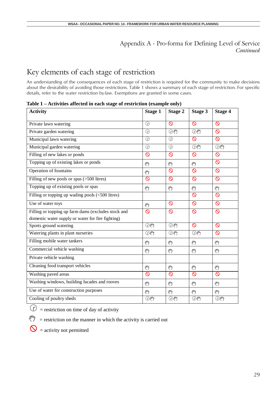# Key elements of each stage of restriction

An understanding of the consequences of each stage of restriction is required for the community to make decisions about the desirability of avoiding those restrictions. Table 1 shows a summary of each stage of restriction. For specific details, refer to the water restriction by-law. Exemptions are granted in some cases.

| <b>Activity</b>                                     | <b>Stage 1</b>     | <b>Stage 2</b> | <b>Stage 3</b>       | <b>Stage 4</b>  |
|-----------------------------------------------------|--------------------|----------------|----------------------|-----------------|
| Private lawn watering                               | $\overline{\odot}$ | $\circ$        | $\infty$             | $\circ$         |
| Private garden watering                             | $\odot$            | O <sub>1</sub> | $\odot$              | $\circledcirc$  |
| Municipal lawn watering                             | $\overline{\odot}$ | $\odot$        | $\infty$             | $\circ$         |
| Municipal garden watering                           | $\odot$            | $\odot$        | $\bigcirc$           | $\odot$         |
| Filling of new lakes or ponds                       | $\infty$           | $\circ$        | $\infty$             | $\circ$         |
| Topping up of existing lakes or ponds               | 87                 | لأرأكم         | ξħ                   | $\circ$         |
| Operation of fountains                              | واللج              | $\circ$        | $\infty$             | $\circ$         |
| Filling of new pools or spas (>500 litres)          | $\circ$            | $\circ$        | $\infty$             | $\circ$         |
| Topping up of existing pools or spas                | لأملج              | والعج          | $\mathcal{E}^n$      | $\mathcal{E}^n$ |
| Filling or topping up wading pools $(<500$ litres)  |                    |                | $\infty$             | $\circ$         |
| Use of water toys                                   | لأربكه             | $\circ$        | $\infty$             | $\circ$         |
| Filling or topping up farm dams (excludes stock and | $\infty$           | $\circ$        | $\circ$              | $\circ$         |
| domestic water supply or water for fire fighting)   |                    |                |                      |                 |
| Sports ground watering                              | @em                | $\odot$ en     | $\infty$             | O               |
| Watering plants in plant nurseries                  | $\odot$ en         | $\bigcirc$     | $\bigcirc$           | O               |
| Filling mobile water tankers                        | والعج              | දිෆි           | $\mathcal{E}^n$      | ლ               |
| Commercial vehicle washing                          | لأربكه             | දිෆි           | لأرباكم              | දිෆි            |
| Private vehicle washing                             |                    |                |                      |                 |
| Cleaning food transport vehicles                    | ξŋ                 | 89             | لأرأكم               | $\mathcal{E}^n$ |
| Washing paved areas                                 | $\infty$           | $\circ$        | $\infty$             | $\circ$         |
| Washing windows, building facades and rooves        | لأملج              | والعج          | $\mathcal{E}^n$      | శ్ర్            |
| Use of water for construction purposes              | لأراكح             | لأراكح         | $\mathcal{E}^{\eta}$ | $\mathcal{E}^n$ |
| Cooling of poultry sheds                            | $\odot$ en         | $\odot$ en     | $\odot$ en           | $\bigcirc$      |

**Table 1 – Activities affected in each stage of restriction (example only)**

 $\hat{y}$  = restriction on time of day of activity

 $\binom{8^n}{7}$  = restriction on the manner in which the activity is carried out

 $\mathbf{Q}$  = activity not permitted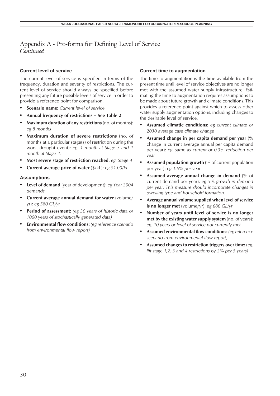#### **Current level of service**

The current level of service is specified in terms of the frequency, duration and severity of restrictions. The current level of service should always be specified before presenting any future possible levels of service in order to provide a reference point for comparison.

- **• Scenario name:** *Current level of service*
- **• Annual frequency of restrictions See Table 2**
- **• Maximum duration of any restrictions** (no. of months): *eg 8 months*
- **• Maximum duration of severe restrictions** (no. of months at a particular stage(s) of restriction during the worst drought event): *eg. 1 month at Stage 3 and 1 month at Stage 4.*
- **• Most severe stage of restriction reached**: *eg. Stage 4*
- **• Current average price of water** (\$/kL): *eg \$1.00/kL*

#### **Assumptions**

- **• Level of demand** (year of development): *eg Year 2004 demands*
- **• Current average annual demand for water** (volume/ yr): *eg 580 GL/yr*
- **• Period of assessment:** *(eg 30 years of historic data or 1000 years of stochastically generated data)*
- **• Environmental flow conditions:** *(eg reference scenario from environmental flow report)*

#### **Current time to augmentation**

The time to augmentation is the time available from the present time until level of service objectives are no longer met with the assumed water supply infrastructure. Estimating the time to augmentation requires assumptions to be made about future growth and climate conditions. This provides a reference point against which to assess other water supply augmentation options, including changes to the desirable level of service.

- **• Assumed climatic conditions:** *eg current climate or 2030 average case climate change*
- **• Assumed change in per capita demand per year** (% change in current average annual per capita demand per year): *eg. same as current or 0.3% reduction per year*
- **• Assumed population growth** (% of current population per year): *eg 1.5% per year*
- **• Assumed average annual change in demand** (% of current demand per year): *eg 5% growth in demand per year. This measure should incorporate changes in dwelling type and household formation.*
- **• Average annual volume supplied when level of service is no longer met** (volume/yr): *eg 680 GL/yr*
- **• Number of years until level of service is no longer met by the existing water supply system** (no. of years): *eg. 10 years or level of service not currently met*
- **• Assumed environmental flow conditions:** *(eg reference scenario from environmental flow report)*
- **• Assumed changes to restriction triggers over time:** (*eg. lift stage 1,2, 3 and 4 restrictions by 2% per 5 years)*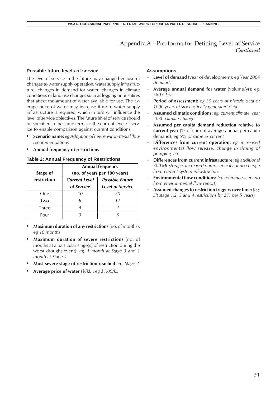#### **Possible future levels of service**

The level of service in the future may change because of changes to water supply operation, water supply infrastructure, changes in demand for water, changes in climate conditions or land use changes such as logging or bushfires that affect the amount of water available for use. The average price of water may increase if more water supply infrastructure is required, which in turn will influence the level of service objectives. The future level of service should be specified in the same terms as the current level of service to enable comparison against current conditions.

- **• Scenario name:** *eg Adoption of new environmental flow recommendations*
- **• Annual frequency of restrictions**

#### **Table 2: Annual Frequency of Restrictions**

| Stage of    | <b>Annual frequency</b><br>(no. of years per 100 years) |                         |  |
|-------------|---------------------------------------------------------|-------------------------|--|
| restriction | <b>Current Level</b>                                    | <b>Possible Future</b>  |  |
|             | of Service                                              | <b>Level of Service</b> |  |
| One         | 10                                                      | 20                      |  |
| Two         |                                                         | 12                      |  |
| Three       | 4                                                       |                         |  |
| Four        |                                                         |                         |  |

- **• Maximum duration of any restrictions** (no. of months): *eg 10 months*
- **• Maximum duration of severe restrictions** (no. of months at a particular stage(s) of restriction during the worst drought event): *eg. 1 month at Stage 3 and 1 month at Stage 4.*
- **• Most severe stage of restriction reached**: *eg. Stage 4*
- **• Average price of water** (\$/kL): *eg \$1.00/kL*

#### **Assumptions**

- **Level of demand** (year of development): *eg Year 2004 demands*
- **Average annual demand for water** (volume/yr): *eg. 580 GL/yr*
- **Period of assessment:** *eg 30 years of historic data or 1000 years of stochastically generated data*
- **Assumed climatic conditions:** *eg. current climate, year 2030 climate change*
- **Assumed per capita demand reduction relative to current year** (% of current average annual per capita demand): *eg 5% or same as current*
- **Differences from current operation:** *eg. increased environmental flow release, change in timing of pumping, etc*
- **Differences from current infrastructure:** *eg additional 300 ML storage, increased pump capacity or no change from current system infrastructure*
- **Environmental flow conditions:** *(eg reference scenario from environmental flow report)*
- **Assumed changes to restriction triggers over time:** (*eg. lift stage 1,2, 3 and 4 restrictions by 2% per 5 years)*